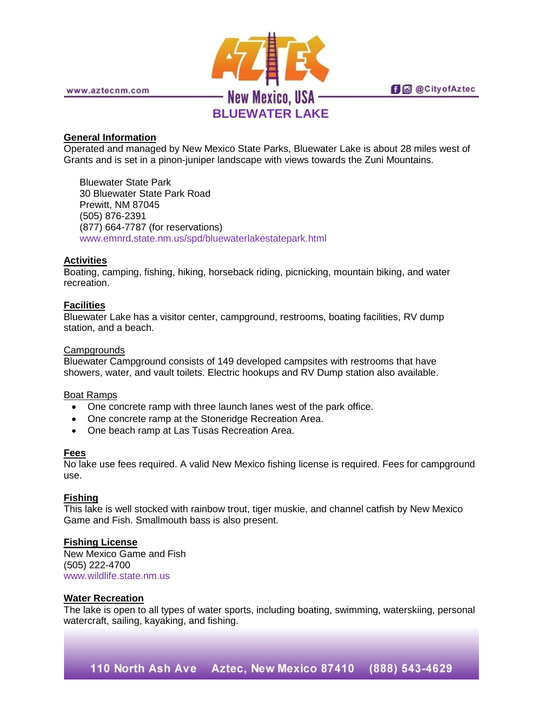

www.aztecnm.com

# **General Information**

Operated and managed by New Mexico State Parks, Bluewater Lake is about 28 miles west of Grants and is set in a pinon-juniper landscape with views towards the Zuni Mountains.

Bluewater State Park 30 Bluewater State Park Road Prewitt, NM 87045 (505) 876-2391 (877) 664-7787 (for reservations) [www.emnrd.state.nm.us/spd/bluewaterlakestatepark.html](http://www.emnrd.state.nm.us/spd/bluewaterlakestatepark.html)

## **Activities**

Boating, camping, fishing, hiking, horseback riding, picnicking, mountain biking, and water recreation.

## **Facilities**

Bluewater Lake has a visitor center, campground, restrooms, boating facilities, RV dump station, and a beach.

### **Campgrounds**

Bluewater Campground consists of 149 developed campsites with restrooms that have showers, water, and vault toilets. Electric hookups and RV Dump station also available.

#### Boat Ramps

- One concrete ramp with three launch lanes west of the park office.
- One concrete ramp at the Stoneridge Recreation Area.
- One beach ramp at Las Tusas Recreation Area.

#### **Fees**

No lake use fees required. A valid New Mexico fishing license is required. Fees for campground use.

## **Fishing**

This lake is well stocked with rainbow trout, tiger muskie, and channel catfish by New Mexico Game and Fish. Smallmouth bass is also present.

## **Fishing License**

New Mexico Game and Fish (505) 222-4700 [www.wildlife.state.nm.us](http://www.wildlife.state.nm.us/)

## **Water Recreation**

The lake is open to all types of water sports, including boating, swimming, waterskiing, personal watercraft, sailing, kayaking, and fishing.

110 North Ash Ave Aztec, New Mexico 87410 (888) 543-4629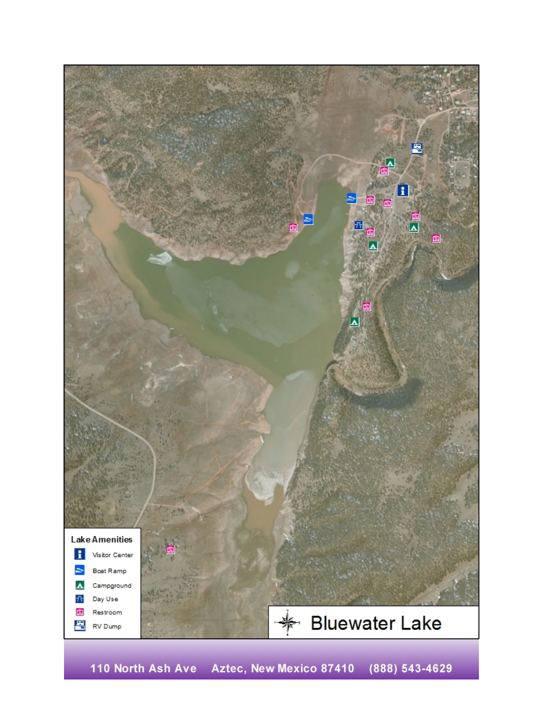

110 North Ash Ave Aztec, New Mexico 87410 (888) 543-4629